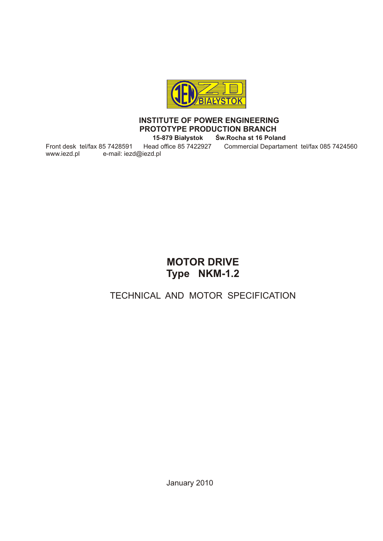

#### **INSTITUTE OF POWER ENGINEERING PROTOTYPE PRODUCTION BRANCH**

**15-879 Białystok Św.Rocha st 16 Poland**

www.iezd.pl e-mail: iezd@iezd.pl

Front desk tel/fax 85 7428591 Head office 85 7422927 Commercial Departament tel/fax 085 7424560

# **MOTOR DRIVE Type NKM-1.2**

## TECHNICAL AND MOTOR SPECIFICATION

January 2010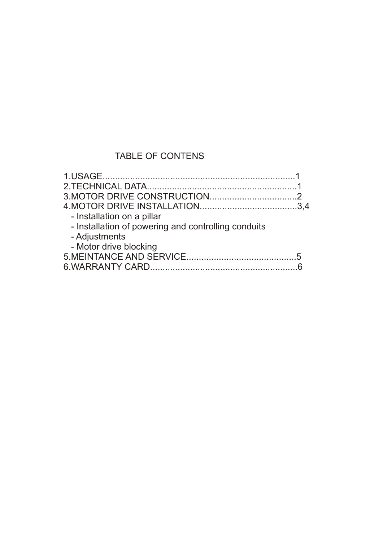## TABLE OF CONTENS

| - Installation on a pillar                          |  |
|-----------------------------------------------------|--|
| - Installation of powering and controlling conduits |  |
| - Adjustments                                       |  |
| - Motor drive blocking                              |  |
|                                                     |  |
|                                                     |  |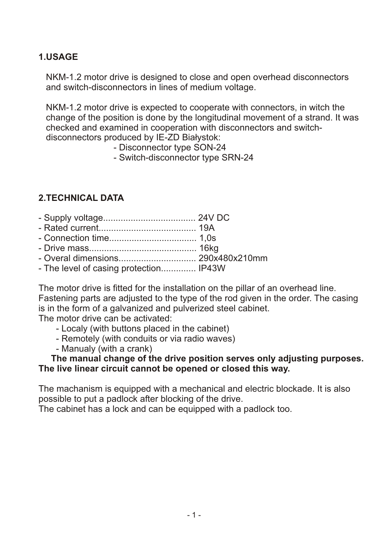## **1.USAGE**

 NKM-1.2 motor drive is designed to close and open overhead disconnectors and switch-disconnectors in lines of medium voltage.

 NKM-1.2 motor drive is expected to cooperate with connectors, in witch the change of the position is done by the longitudinal movement of a strand. It was checked and examined in cooperation with disconnectors and switch disconnectors produced by IE-ZD Białystok:

- Disconnector type SON-24
- Switch-disconnector type SRN-24

## **2.TECHNICAL DATA**

- Supply voltage..................................... 24V DC
- Rated current....................................... 19A
- Connection time................................... 1,0s
- Drive mass........................................... 16kg
- Overal dimensions............................... 290x480x210mm
- The level of casing protection.............. IP43W

The motor drive is fitted for the installation on the pillar of an overhead line. Fastening parts are adjusted to the type of the rod given in the order. The casing is in the form of a galvanized and pulverized steel cabinet.

The motor drive can be activated:

- Localy (with buttons placed in the cabinet)
- Remotely (with conduits or via radio waves)
- Manualy (with a crank)

#### **The manual change of the drive position serves only adjusting purposes. The live linear circuit cannot be opened or closed this way.**

The machanism is equipped with a mechanical and electric blockade. It is also possible to put a padlock after blocking of the drive.

The cabinet has a lock and can be equipped with a padlock too.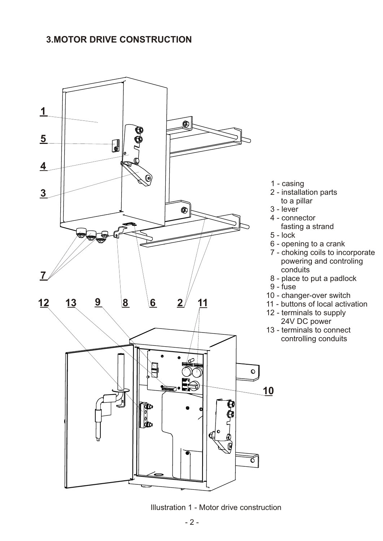#### **3.MOTOR DRIVE CONSTRUCTION**



Illustration 1 - Motor drive construction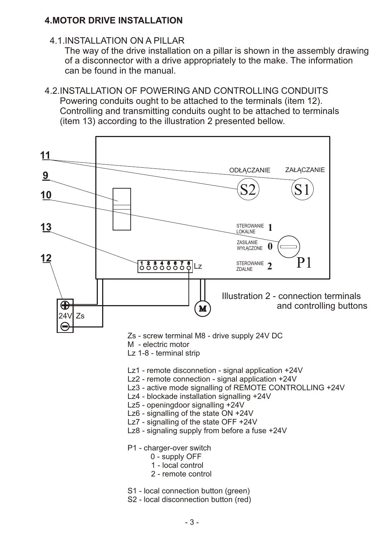#### **4.MOTOR DRIVE INSTALLATION**

4.1.INSTALLATION ON A PILLAR

 The way of the drive installation on a pillar is shown in the assembly drawing of a disconnector with a drive appropriately to the make. The information can be found in the manual.

4.2.INSTALLATION OF POWERING AND CONTROLLING CONDUITS Powering conduits ought to be attached to the terminals (item 12). Controlling and transmitting conduits ought to be attached to terminals (item 13) according to the illustration 2 presented bellow.

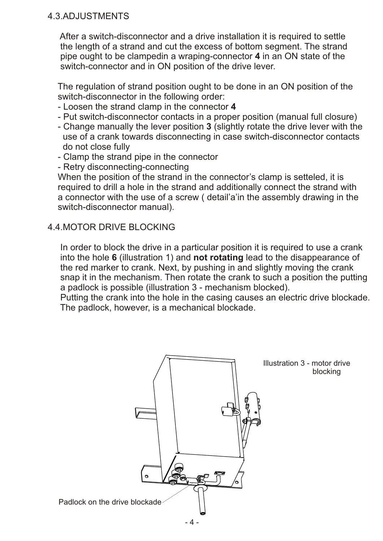#### 4.3.ADJUSTMENTS

 After a switch-disconnector and a drive installation it is required to settle the length of a strand and cut the excess of bottom segment. The strand pipe ought to be clampedin a wraping-connector **4** in an ON state of the switch-connector and in ON position of the drive lever.

 The regulation of strand position ought to be done in an ON position of the switch-disconnector in the following order:

- Loosen the strand clamp in the connector **4**
- Put switch-disconnector contacts in a proper position (manual full closure)
- Change manually the lever position **3** (slightly rotate the drive lever with the use of a crank towards disconnecting in case switch-disconnector contacts do not close fully
- Clamp the strand pipe in the connector
- Retry disconnecting-connecting

When the position of the strand in the connector's clamp is setteled, it is required to drill a hole in the strand and additionally connect the strand with a connector with the use of a screw ( detail'a'in the assembly drawing in the switch-disconnector manual).

#### 4.4.MOTOR DRIVE BLOCKING

 In order to block the drive in a particular position it is required to use a crank into the hole **6** (illustration 1) and **not rotating** lead to the disappearance of the red marker to crank. Next, by pushing in and slightly moving the crank snap it in the mechanism. Then rotate the crank to such a position the putting a padlock is possible (illustration 3 - mechanism blocked).

 Putting the crank into the hole in the casing causes an electric drive blockade. The padlock, however, is a mechanical blockade.

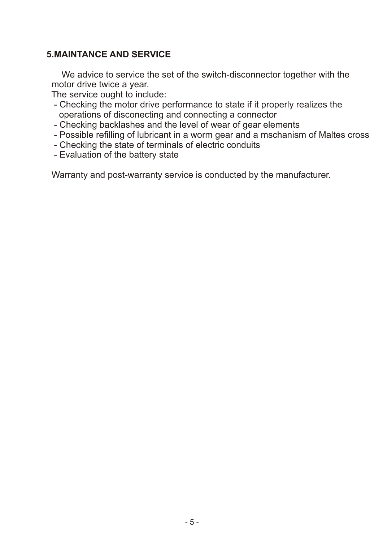#### **5.MAINTANCE AND SERVICE**

 We advice to service the set of the switch-disconnector together with the motor drive twice a year.

The service ought to include:

- Checking the motor drive performance to state if it properly realizes the operations of disconecting and connecting a connector
- Checking backlashes and the level of wear of gear elements
- Possible refilling of lubricant in a worm gear and a mschanism of Maltes cross
- Checking the state of terminals of electric conduits
- Evaluation of the battery state

Warranty and post-warranty service is conducted by the manufacturer.